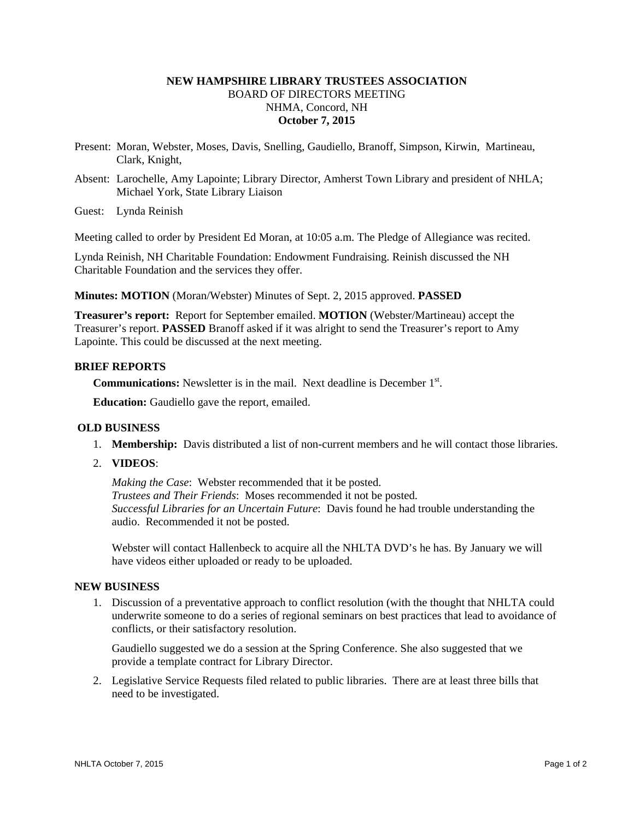# **NEW HAMPSHIRE LIBRARY TRUSTEES ASSOCIATION**  BOARD OF DIRECTORS MEETING NHMA, Concord, NH **October 7, 2015**

- Present: Moran, Webster, Moses, Davis, Snelling, Gaudiello, Branoff, Simpson, Kirwin, Martineau, Clark, Knight,
- Absent: Larochelle, Amy Lapointe; Library Director, Amherst Town Library and president of NHLA; Michael York, State Library Liaison

Guest: Lynda Reinish

Meeting called to order by President Ed Moran, at 10:05 a.m. The Pledge of Allegiance was recited.

Lynda Reinish, NH Charitable Foundation: Endowment Fundraising. Reinish discussed the NH Charitable Foundation and the services they offer.

**Minutes: MOTION** (Moran/Webster) Minutes of Sept. 2, 2015 approved. **PASSED**

**Treasurer's report:** Report for September emailed. **MOTION** (Webster/Martineau) accept the Treasurer's report. **PASSED** Branoff asked if it was alright to send the Treasurer's report to Amy Lapointe. This could be discussed at the next meeting.

### **BRIEF REPORTS**

**Communications:** Newsletter is in the mail. Next deadline is December 1<sup>st</sup>.

**Education:** Gaudiello gave the report, emailed.

### **OLD BUSINESS**

- 1. **Membership:** Davis distributed a list of non-current members and he will contact those libraries.
- 2. **VIDEOS**:

*Making the Case*: Webster recommended that it be posted. *Trustees and Their Friends*: Moses recommended it not be posted. *Successful Libraries for an Uncertain Future*: Davis found he had trouble understanding the audio. Recommended it not be posted.

Webster will contact Hallenbeck to acquire all the NHLTA DVD's he has. By January we will have videos either uploaded or ready to be uploaded.

#### **NEW BUSINESS**

1. Discussion of a preventative approach to conflict resolution (with the thought that NHLTA could underwrite someone to do a series of regional seminars on best practices that lead to avoidance of conflicts, or their satisfactory resolution.

Gaudiello suggested we do a session at the Spring Conference. She also suggested that we provide a template contract for Library Director.

2. Legislative Service Requests filed related to public libraries. There are at least three bills that need to be investigated.